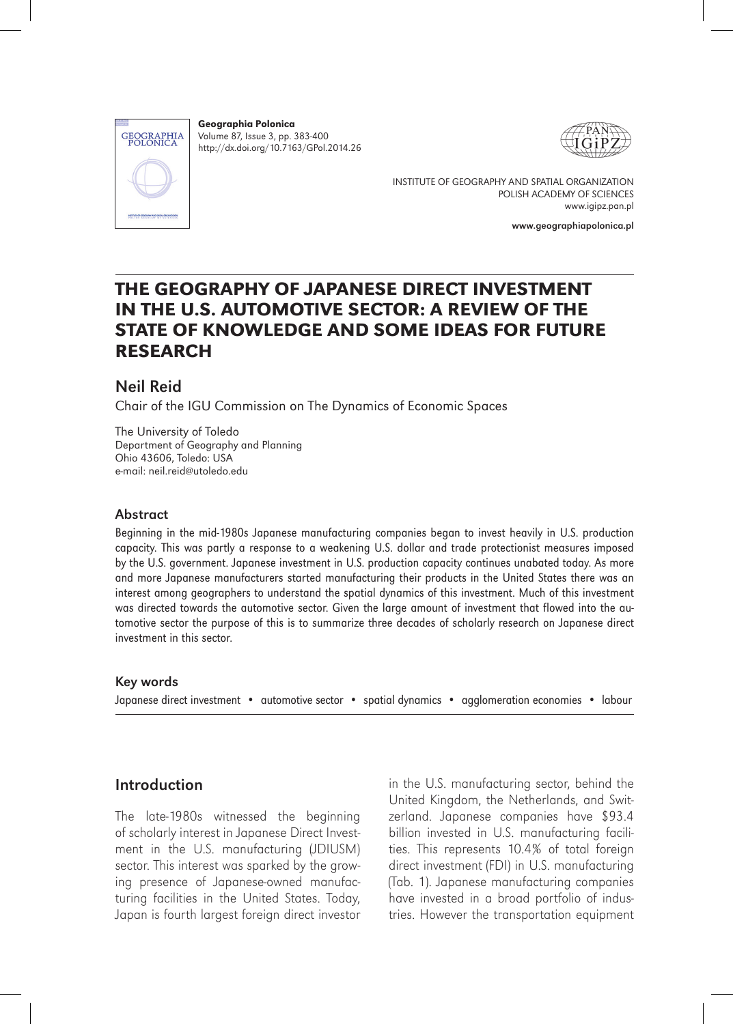

Geographia Polonica Volume 87, Issue 3, pp. 383-400 http://dx.doi.org/10.7163/GPol.2014.26





INSTITUTE OF GEOGRAPHY AND SPATIAL ORGANIZATION POLISH ACADEMY OF SCIENCES www.igipz.pan.pl

www.geographiapolonica.pl

# THE GEOGRAPHY OF JAPANESE DIRECT INVESTMENT IN THE U.S. AUTOMOTIVE SECTOR: A REVIEW OF THE STATE OF KNOWLEDGE AND SOME IDEAS FOR FUTURE **RESEARCH**

# Neil Reid

Chair of the IGU Commission on The Dynamics of Economic Spaces

The University of Toledo Department of Geography and Planning Ohio 43606, Toledo: USA e-mail: neil reid@utoledo.edu

#### Abstract

Beginning in the mid-1980s Japanese manufacturing companies began to invest heavily in U.S. production capacity. This was partly a response to a weakening U.S. dollar and trade protectionist measures imposed by the U.S. government. Japanese investment in U.S. production capacity continues unabated today. As more and more Japanese manufacturers started manufacturing their products in the United States there was an interest among geographers to understand the spatial dynamics of this investment. Much of this investment was directed towards the automotive sector. Given the large amount of investment that flowed into the automotive sector the purpose of this is to summarize three decades of scholarly research on Japanese direct investment in this sector.

#### Key words

Japanese direct investment • automotive sector • spatial dynamics • agglomeration economies • labour

# Introduction

The late-1980s witnessed the beginning of scholarly interest in Japanese Direct Investment in the U.S. manufacturing (JDIUSM) sector. This interest was sparked by the growing presence of Japanese-owned manufacturing facilities in the United States. Today, Japan is fourth largest foreign direct investor

in the U.S. manufacturing sector, behind the United Kingdom, the Netherlands, and Switzerland. Japanese companies have \$93.4 billion invested in U.S. manufacturing facilities. This represents 10.4% of total foreign direct investment (FDI) in U.S. manufacturing (Tab. 1). Japanese manufacturing companies have invested in a broad portfolio of industries. However the transportation equipment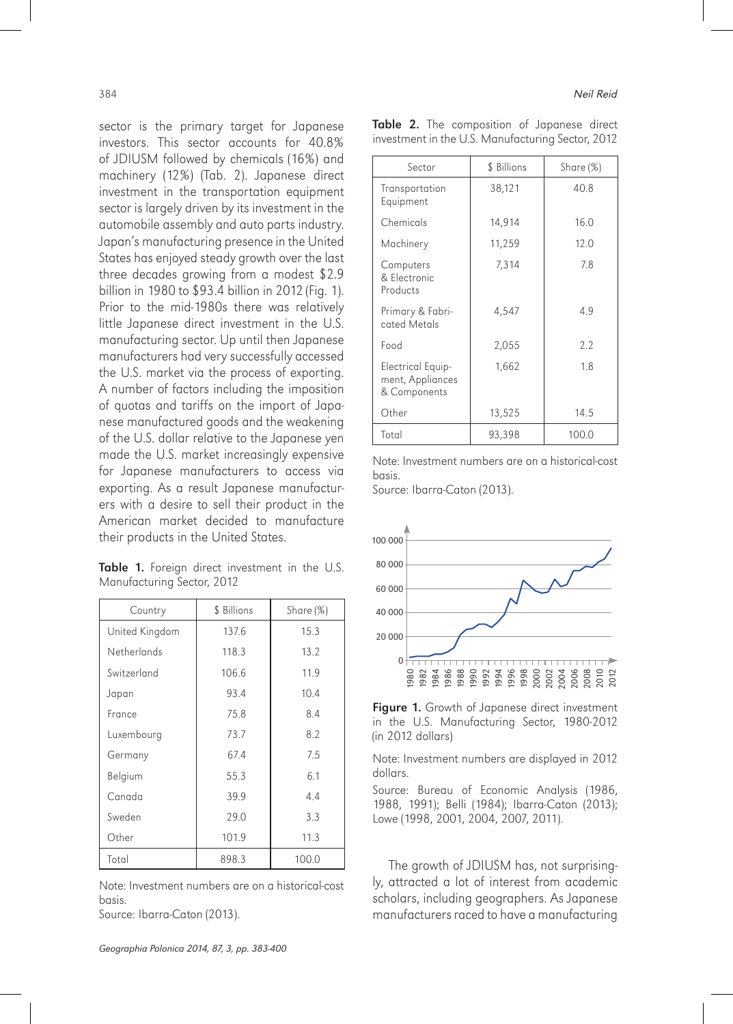sector is the primary target for Japanese investors. This sector accounts for 40.8% of JDIUSM followed by chemicals (16%) and machinery (12%) (Tab. 2). Japanese direct investment in the transportation equipment sector is largely driven by its investment in the automobile assembly and auto parts industry. Japan's manufacturing presence in the United States has enjoyed steady growth over the last three decades growing from a modest \$2.9 billion in 1980 to \$93.4 billion in 2012 (Fig. 1). Prior to the mid-1980s there was relatively little Japanese direct investment in the U.S. manufacturing sector. Up until then Japanese manufacturers had very successfully accessed the U.S. market via the process of exporting. A number of factors including the imposition of quotas and tariffs on the import of Japanese manufactured goods and the weakening of the U.S. dollar relative to the Japanese yen made the U.S. market increasingly expensive for Japanese manufacturers to access via exporting. As a result Japanese manufacturers with a desire to sell their product in the American market decided to manufacture their products in the United States.

Table 1. Foreign direct investment in the U.S. Manufacturing Sector, 2012

| Country        | \$ Billions | Share $(\%)$ |
|----------------|-------------|--------------|
| United Kingdom | 137.6       | 15.3         |
| Netherlands    | 118.3       | 13.2         |
| Switzerland    | 106.6       | 11.9         |
| Japan          | 93.4        | 10.4         |
| France         | 75.8        | 8.4          |
| Luxembourg     | 73.7        | 8.2          |
| Germany        | 67.4        | 7.5          |
| Belgium        | 55.3        | 6.1          |
| Canada         | 39.9        | 4.4          |
| Sweden         | 29.0        | 3.3          |
| Other          | 101.9       | 11.3         |
| Total          | 898.3       | 100.0        |

Note: Investment numbers are on a historical-cost basis.

Source: Ibarra-Caton (2013).

|  |  | Table 2. The composition of Japanese direct       |  |  |
|--|--|---------------------------------------------------|--|--|
|  |  | investment in the U.S. Manufacturing Sector, 2012 |  |  |

| Sector                                                | \$ Billions | Share (%) |
|-------------------------------------------------------|-------------|-----------|
| Transportation<br>Equipment                           | 38,121      | 40.8      |
| Chemicals                                             | 14,914      | 16.0      |
| Machinery                                             | 11,259      | 12.0      |
| Computers<br>& Flectronic<br>Products                 | 7,314       | 7.8       |
| Primary & Fabri-<br>cated Metals                      | 4,547       | 4.9       |
| Food                                                  | 2,055       | 2.2       |
| Electrical Equip-<br>ment, Appliances<br>& Components | 1,662       | 1.8       |
| Other                                                 | 13,525      | 14.5      |
| Total                                                 | 93,398      | 100.0     |

Note: Investment numbers are on a historical-cost basis.

Source: Ibarra-Caton (2013).



Figure 1. Growth of Japanese direct investment in the U.S. Manufacturing Sector, 1980-2012 (in 2012 dollars)

Note: Investment numbers are displayed in 2012 dollars.

Source: Bureau of Economic Analysis (1986, 1988, 1991); Belli (1984); Ibarra-Caton (2013); Lowe (1998, 2001, 2004, 2007, 2011).

The growth of JDIUSM has, not surprisingly, attracted a lot of interest from academic scholars, including geographers. As Japanese manufacturers raced to have a manufacturing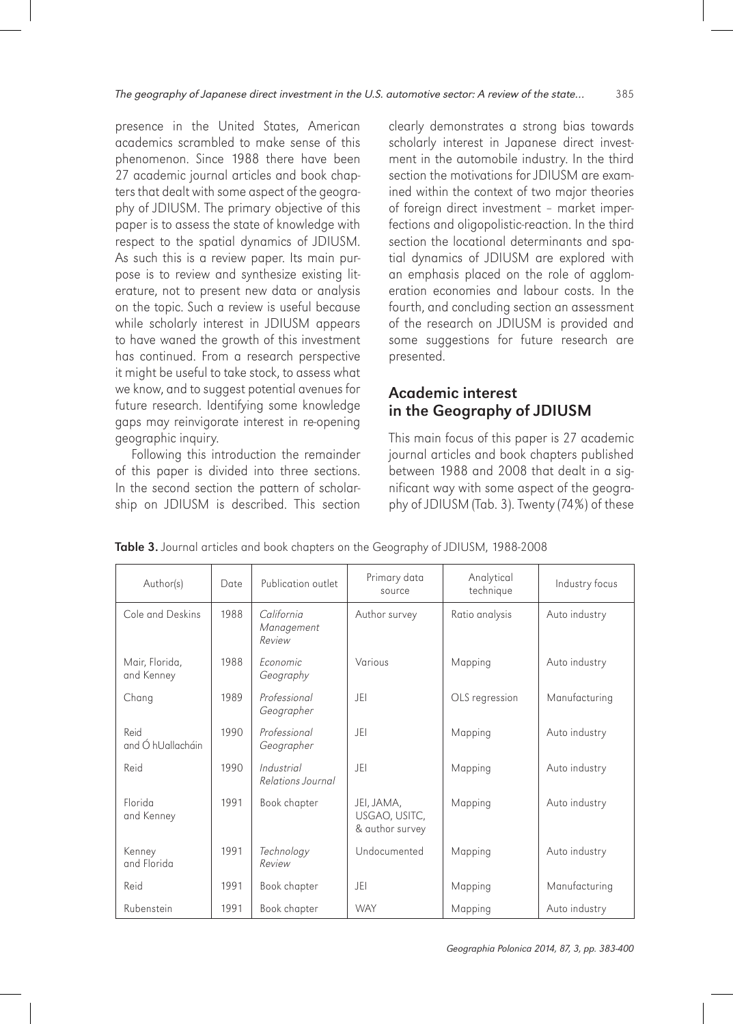presence in the United States, American academics scrambled to make sense of this phenomenon. Since 1988 there have been 27 academic journal articles and book chapters that dealt with some aspect of the geography of JDIUSM. The primary objective of this paper is to assess the state of knowledge with respect to the spatial dynamics of JDIUSM. As such this is a review paper. Its main purpose is to review and synthesize existing literature, not to present new data or analysis on the topic. Such a review is useful because while scholarly interest in JDIUSM appears to have waned the growth of this investment has continued. From a research perspective it might be useful to take stock, to assess what we know, and to suggest potential avenues for future research. Identifying some knowledge gaps may reinvigorate interest in re-opening geographic inquiry.

Following this introduction the remainder of this paper is divided into three sections. In the second section the pattern of scholarship on JDIUSM is described. This section clearly demonstrates a strong bias towards scholarly interest in Japanese direct investment in the automobile industry. In the third section the motivations for JDIUSM are examined within the context of two major theories of foreign direct investment – market imperfections and oligopolistic-reaction. In the third section the locational determinants and spatial dynamics of JDIUSM are explored with an emphasis placed on the role of agglomeration economies and labour costs. In the fourth, and concluding section an assessment of the research on JDIUSM is provided and some suggestions for future research are presented.

# Academic interest in the Geography of JDIUSM

This main focus of this paper is 27 academic journal articles and book chapters published between 1988 and 2008 that dealt in a significant way with some aspect of the geography of JDIUSM (Tab. 3). Twenty (74%) of these

| Author(s)                                    | Date | Publication outlet                 | Primary data<br>source                         | Analytical<br>technique | Industry focus |
|----------------------------------------------|------|------------------------------------|------------------------------------------------|-------------------------|----------------|
| Cole and Deskins                             | 1988 | California<br>Management<br>Review | Author survey                                  | Ratio analysis          | Auto industry  |
| Mair, Florida,<br>and Kenney                 | 1988 | <b>Fconomic</b><br>Geography       | Various                                        | Mapping                 | Auto industry  |
| Chang                                        | 1989 | Professional<br>Geographer         | -IFI                                           | OLS regression          | Manufacturing  |
| Reid<br>and $\acute{\mathrm{O}}$ hUallacháin | 1990 | Professional<br>Geographer         | JFI                                            | Mapping                 | Auto industry  |
| Reid                                         | 1990 | Industrial<br>Relations Journal    | JFI                                            | Mapping                 | Auto industry  |
| Florida<br>and Kenney                        | 1991 | Book chapter                       | JEI, JAMA,<br>USGAO, USITC,<br>& author survey | Mapping                 | Auto industry  |
| Kenney<br>and Florida                        | 1991 | Technology<br>Review               | Undocumented                                   | Mapping                 | Auto industry  |
| Reid                                         | 1991 | Book chapter                       | JFI                                            | Mapping                 | Manufacturing  |
| Rubenstein                                   | 1991 | Book chapter                       | <b>WAY</b>                                     | Mapping                 | Auto industry  |

Table 3. Journal articles and book chapters on the Geography of JDIUSM, 1988-2008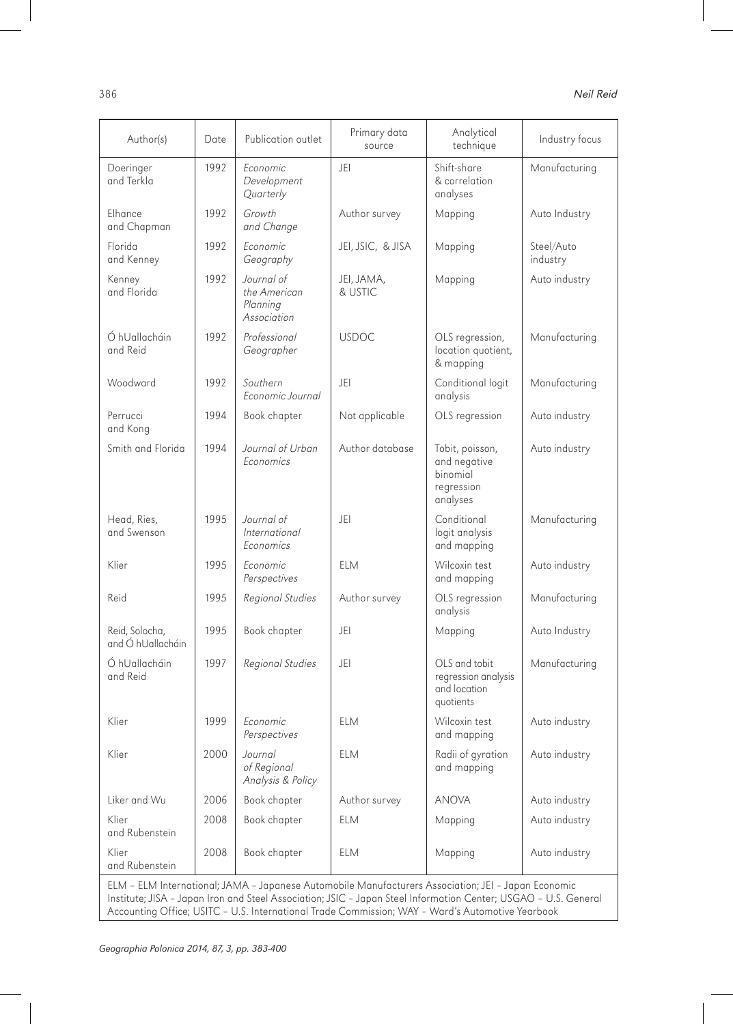| Author(s)                                                                                           | Date | Publication outlet                                    | Primary data<br>source | Analytical<br>technique                                               | Industry focus         |
|-----------------------------------------------------------------------------------------------------|------|-------------------------------------------------------|------------------------|-----------------------------------------------------------------------|------------------------|
| Doeringer<br>and Terkla                                                                             | 1992 | Economic<br>Development<br>Quarterly                  | JEI                    | Shift-share<br>& correlation<br>analyses                              | Manufacturing          |
| Elhance<br>and Chapman                                                                              | 1992 | Growth<br>and Change                                  | Author survey          | Mapping                                                               | Auto Industry          |
| Florida<br>and Kenney                                                                               | 1992 | Economic<br>Geography                                 | JEI, JSIC, & JISA      | Mapping                                                               | Steel/Auto<br>industry |
| Kenney<br>and Florida                                                                               | 1992 | Journal of<br>the American<br>Planning<br>Association | JEI, JAMA,<br>& USTIC  | Mapping                                                               | Auto industry          |
| Ó hUallacháin<br>and Reid                                                                           | 1992 | Professional<br>Geographer                            | <b>USDOC</b>           | OLS regression,<br>location quotient,<br>& mapping                    | Manufacturing          |
| Woodward                                                                                            | 1992 | Southern<br>Economic Journal                          | JEI                    | Conditional logit<br>analysis                                         | Manufacturing          |
| Perrucci<br>and Kong                                                                                | 1994 | Book chapter                                          | Not applicable         | OLS regression                                                        | Auto industry          |
| Smith and Florida                                                                                   | 1994 | Journal of Urban<br><b>Fconomics</b>                  | Author database        | Tobit, poisson,<br>and negative<br>binomial<br>regression<br>analyses | Auto industry          |
| Head, Ries,<br>and Swenson                                                                          | 1995 | Journal of<br><i>International</i><br>Economics       | JEI                    | Conditional<br>logit analysis<br>and mapping                          | Manufacturing          |
| Klier                                                                                               | 1995 | Economic<br>Perspectives                              | <b>ELM</b>             | Wilcoxin test<br>and mapping                                          | Auto industry          |
| Reid                                                                                                | 1995 | Regional Studies                                      | Author survey          | OLS regression<br>analysis                                            | Manufacturing          |
| Reid, Solocha,<br>and Ó hUallacháin                                                                 | 1995 | Book chapter                                          | JEI                    | Mapping                                                               | Auto Industry          |
| Ó hUallacháin<br>and Reid                                                                           | 1997 | Regional Studies                                      | JEI                    | OLS and tobit<br>regression analysis<br>and location<br>quotients     | Manufacturing          |
| Klier                                                                                               | 1999 | Economic<br>Perspectives                              | <b>ELM</b>             | Wilcoxin test<br>and mapping                                          | Auto industry          |
| Klier                                                                                               | 2000 | Journal<br>of Regional<br>Analysis & Policy           | <b>ELM</b>             | Radii of gyration<br>and mapping                                      | Auto industry          |
| Liker and Wu                                                                                        | 2006 | Book chapter                                          | Author survey          | anova                                                                 | Auto industry          |
| Klier<br>and Rubenstein                                                                             | 2008 | Book chapter                                          | <b>ELM</b>             | Mapping                                                               | Auto industry          |
| Klier<br>and Rubenstein                                                                             | 2008 | Book chapter                                          | ELM                    | Mapping                                                               | Auto industry          |
| ELM - ELM International; JAMA - Japanese Automobile Manufacturers Association; JEI - Japan Economic |      |                                                       |                        |                                                                       |                        |

Institute; JISA – Japan Iron and Steel Association; JSIC – Japan Steel Information Center; USGAO – U.S. General Accounting Office; USITC – U.S. International Trade Commission; WAY – Ward's Automotive Yearbook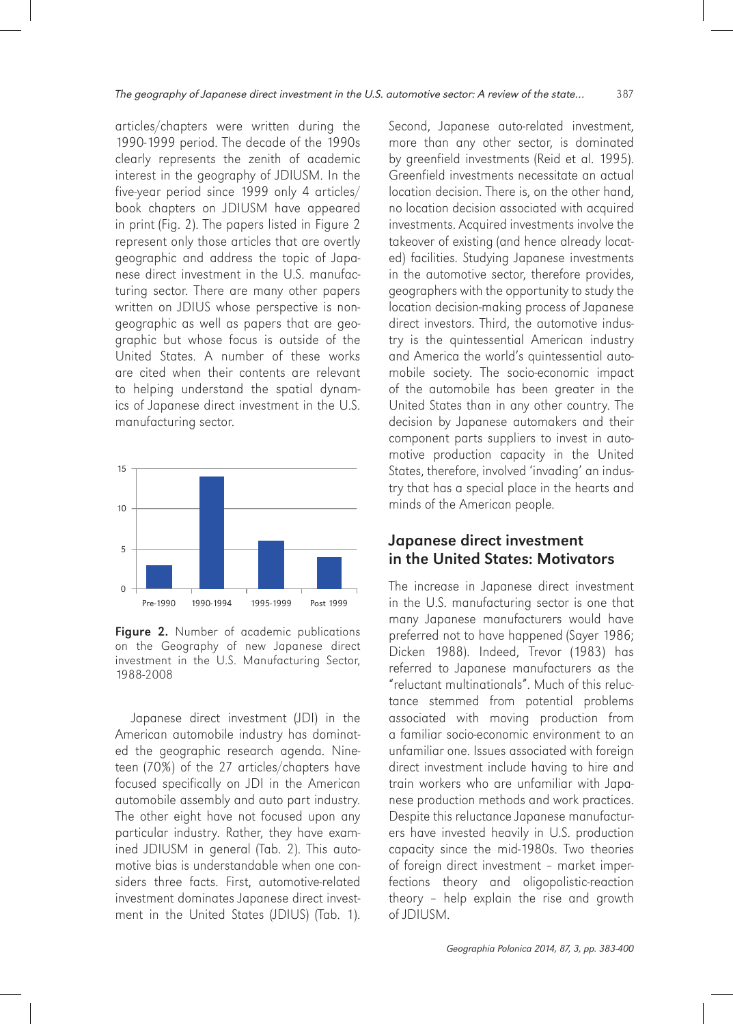articles/chapters were written during the 1990-1999 period. The decade of the 1990s clearly represents the zenith of academic interest in the geography of JDIUSM. In the five-year period since 1999 only 4 articles/ book chapters on JDIUSM have appeared in print (Fig. 2). The papers listed in Figure 2 represent only those articles that are overtly geographic and address the topic of Japanese direct investment in the U.S. manufacturing sector. There are many other papers written on JDIUS whose perspective is nongeographic as well as papers that are geographic but whose focus is outside of the United States. A number of these works are cited when their contents are relevant to helping understand the spatial dynamics of Japanese direct investment in the U.S. manufacturing sector.



Figure 2. Number of academic publications on the Geography of new Japanese direct investment in the U.S. Manufacturing Sector, 1988-2008

Japanese direct investment (JDI) in the American automobile industry has dominated the geographic research agenda. Nineteen (70%) of the 27 articles/chapters have focused specifically on JDI in the American automobile assembly and auto part industry. The other eight have not focused upon any particular industry. Rather, they have examined JDIUSM in general (Tab. 2). This automotive bias is understandable when one considers three facts. First, automotive-related investment dominates Japanese direct investment in the United States (JDIUS) (Tab. 1).

Second, Japanese auto-related investment, more than any other sector, is dominated by greenfield investments (Reid et al. 1995). Greenfield investments necessitate an actual location decision. There is, on the other hand, no location decision associated with acquired investments. Acquired investments involve the takeover of existing (and hence already located) facilities. Studying Japanese investments in the automotive sector, therefore provides, geographers with the opportunity to study the location decision-making process of Japanese direct investors. Third, the automotive industry is the quintessential American industry and America the world's quintessential automobile society. The socio-economic impact of the automobile has been greater in the United States than in any other country. The decision by Japanese automakers and their component parts suppliers to invest in automotive production capacity in the United States, therefore, involved 'invading' an industry that has a special place in the hearts and minds of the American people.

### Japanese direct investment in the United States: Motivators

The increase in Japanese direct investment in the U.S. manufacturing sector is one that many Japanese manufacturers would have preferred not to have happened (Sayer 1986; Dicken 1988). Indeed, Trevor (1983) has referred to Japanese manufacturers as the "reluctant multinationals". Much of this reluctance stemmed from potential problems associated with moving production from a familiar socio-economic environment to an unfamiliar one. Issues associated with foreign direct investment include having to hire and train workers who are unfamiliar with Japanese production methods and work practices. Despite this reluctance Japanese manufacturers have invested heavily in U.S. production capacity since the mid-1980s. Two theories of foreign direct investment – market imperfections theory and oligopolistic-reaction theory – help explain the rise and growth of JDIUSM.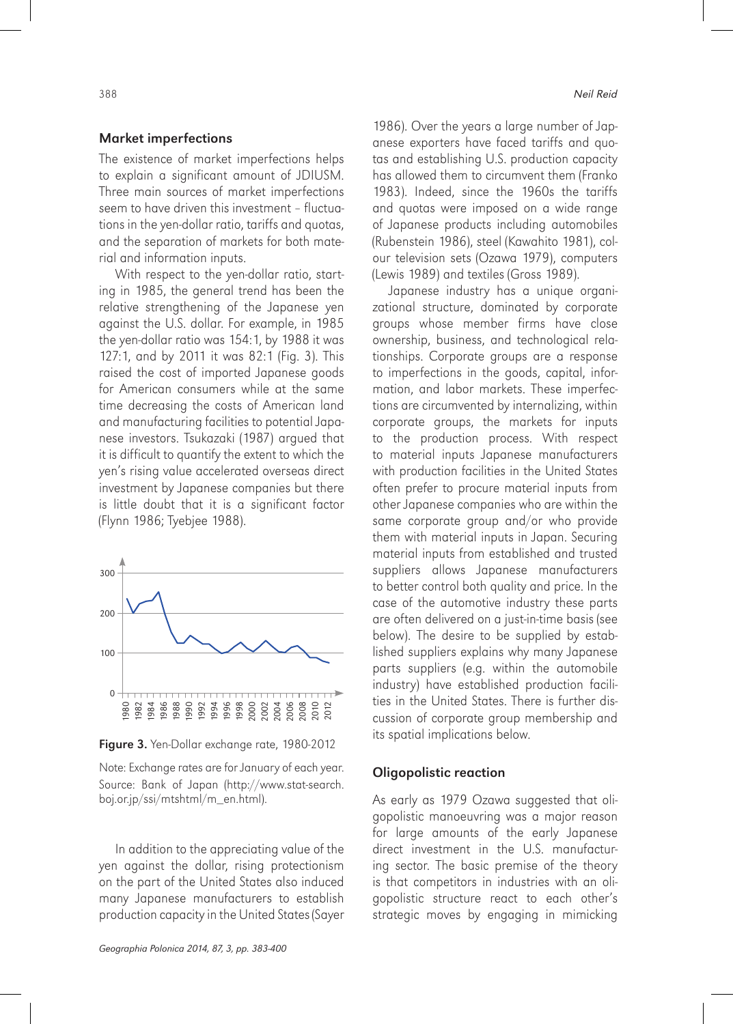#### Market imperfections

The existence of market imperfections helps to explain a significant amount of JDIUSM. Three main sources of market imperfections seem to have driven this investment – fluctuations in the yen-dollar ratio, tariffs and quotas, and the separation of markets for both material and information inputs.

With respect to the yen-dollar ratio, starting in 1985, the general trend has been the relative strengthening of the Japanese yen against the U.S. dollar. For example, in 1985 the yen-dollar ratio was 154:1, by 1988 it was 127:1, and by 2011 it was 82:1 (Fig. 3). This raised the cost of imported Japanese goods for American consumers while at the same time decreasing the costs of American land and manufacturing facilities to potential Japanese investors. Tsukazaki (1987) argued that it is difficult to quantify the extent to which the yen's rising value accelerated overseas direct investment by Japanese companies but there is little doubt that it is a significant factor (Flynn 1986; Tyebjee 1988).



Figure 3. Yen-Dollar exchange rate, 1980-2012

Note: Exchange rates are for January of each year. Source: Bank of Japan (http://www.stat-search. boj.or.jp/ssi/mtshtml/m\_en.html).

In addition to the appreciating value of the yen against the dollar, rising protectionism on the part of the United States also induced many Japanese manufacturers to establish production capacity in the United States (Sayer 1986). Over the years a large number of Japanese exporters have faced tariffs and quotas and establishing U.S. production capacity has allowed them to circumvent them (Franko 1983). Indeed, since the 1960s the tariffs and quotas were imposed on a wide range of Japanese products including automobiles (Rubenstein 1986), steel (Kawahito 1981), colour television sets (Ozawa 1979), computers (Lewis 1989) and textiles (Gross 1989).

Japanese industry has a unique organizational structure, dominated by corporate groups whose member firms have close ownership, business, and technological relationships. Corporate groups are a response to imperfections in the goods, capital, information, and labor markets. These imperfections are circumvented by internalizing, within corporate groups, the markets for inputs to the production process. With respect to material inputs Japanese manufacturers with production facilities in the United States often prefer to procure material inputs from other Japanese companies who are within the same corporate group and/or who provide them with material inputs in Japan. Securing material inputs from established and trusted suppliers allows Japanese manufacturers to better control both quality and price. In the case of the automotive industry these parts are often delivered on a just-in-time basis (see below). The desire to be supplied by established suppliers explains why many Japanese parts suppliers (e.g. within the automobile industry) have established production facilities in the United States. There is further discussion of corporate group membership and its spatial implications below.

# Oligopolistic reaction

As early as 1979 Ozawa suggested that oligopolistic manoeuvring was a major reason for large amounts of the early Japanese direct investment in the U.S. manufacturing sector. The basic premise of the theory is that competitors in industries with an oligopolistic structure react to each other's strategic moves by engaging in mimicking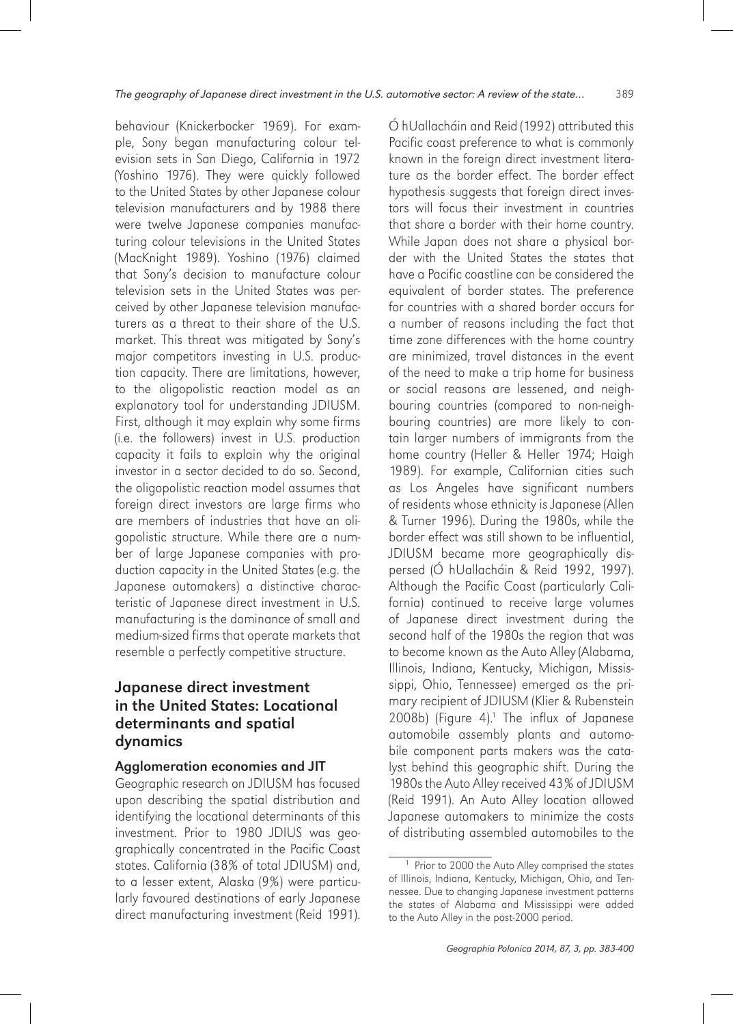behaviour (Knickerbocker 1969). For example, Sony began manufacturing colour television sets in San Diego, California in 1972 (Yoshino 1976). They were quickly followed to the United States by other Japanese colour television manufacturers and by 1988 there were twelve Japanese companies manufacturing colour televisions in the United States (MacKnight 1989). Yoshino (1976) claimed that Sony's decision to manufacture colour television sets in the United States was perceived by other Japanese television manufacturers as a threat to their share of the U.S. market. This threat was mitigated by Sony's major competitors investing in U.S. production capacity. There are limitations, however, to the oligopolistic reaction model as an explanatory tool for understanding JDIUSM. First, although it may explain why some firms (i.e. the followers) invest in U.S. production capacity it fails to explain why the original investor in a sector decided to do so. Second, the oligopolistic reaction model assumes that foreign direct investors are large firms who are members of industries that have an oligopolistic structure. While there are a number of large Japanese companies with production capacity in the United States (e.g. the Japanese automakers) a distinctive characteristic of Japanese direct investment in U.S. manufacturing is the dominance of small and medium-sized firms that operate markets that resemble a perfectly competitive structure.

# Japanese direct investment in the United States: Locational determinants and spatial dynamics

#### Agglomeration economies and JIT

Geographic research on JDIUSM has focused upon describing the spatial distribution and identifying the locational determinants of this investment. Prior to 1980 JDIUS was geographically concentrated in the Pacific Coast states. California (38% of total JDIUSM) and, to a lesser extent, Alaska (9%) were particularly favoured destinations of early Japanese direct manufacturing investment (Reid 1991).

Ó hUallacháin and Reid (1992) attributed this Pacific coast preference to what is commonly known in the foreign direct investment literature as the border effect. The border effect hypothesis suggests that foreign direct investors will focus their investment in countries that share a border with their home country. While Japan does not share a physical border with the United States the states that have a Pacific coastline can be considered the equivalent of border states. The preference for countries with a shared border occurs for a number of reasons including the fact that time zone differences with the home country are minimized, travel distances in the event of the need to make a trip home for business or social reasons are lessened, and neighbouring countries (compared to non-neighbouring countries) are more likely to contain larger numbers of immigrants from the home country (Heller & Heller 1974; Haigh 1989). For example, Californian cities such as Los Angeles have significant numbers of residents whose ethnicity is Japanese (Allen & Turner 1996). During the 1980s, while the border effect was still shown to be influential, JDIUSM became more geographically dispersed (Ó hUallacháin & Reid 1992, 1997). Although the Pacific Coast (particularly California) continued to receive large volumes of Japanese direct investment during the second half of the 1980s the region that was to become known as the Auto Alley (Alabama, Illinois, Indiana, Kentucky, Michigan, Mississippi, Ohio, Tennessee) emerged as the primary recipient of JDIUSM (Klier & Rubenstein 2008b) (Figure 4).<sup>1</sup> The influx of Japanese automobile assembly plants and automobile component parts makers was the catalyst behind this geographic shift. During the 1980s the Auto Alley received 43% of JDIUSM (Reid 1991). An Auto Alley location allowed Japanese automakers to minimize the costs of distributing assembled automobiles to the

<sup>&</sup>lt;sup>1</sup> Prior to 2000 the Auto Alley comprised the states of Illinois, Indiana, Kentucky, Michigan, Ohio, and Tennessee. Due to changing Japanese investment patterns the states of Alabama and Mississippi were added to the Auto Alley in the post-2000 period.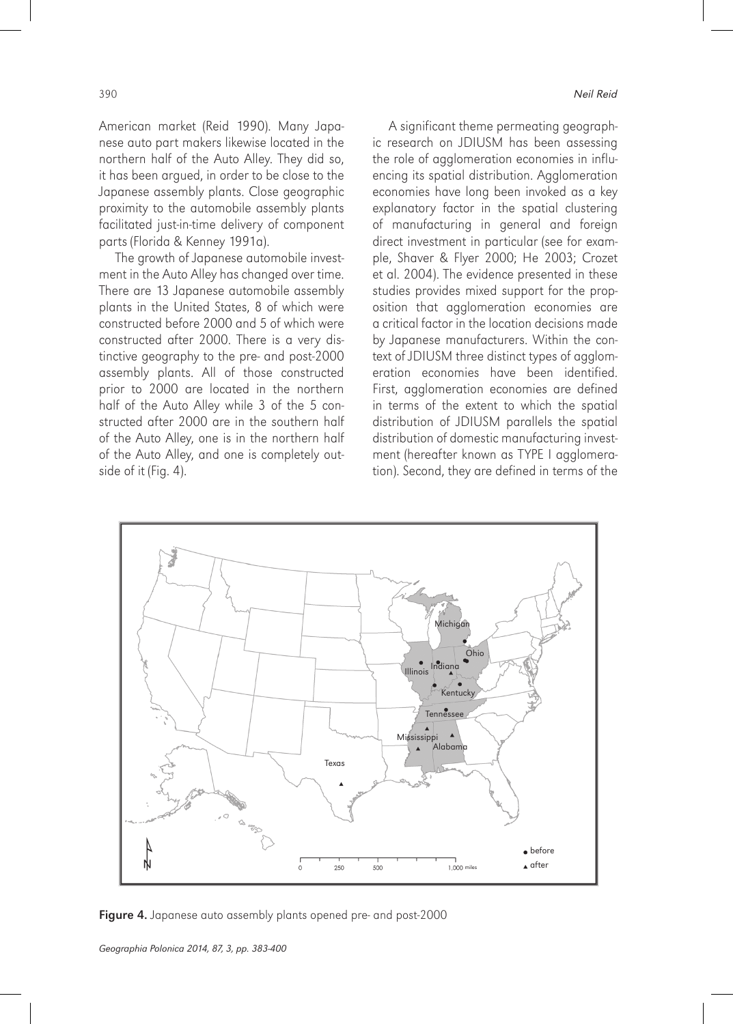American market (Reid 1990). Many Japanese auto part makers likewise located in the northern half of the Auto Alley. They did so, it has been argued, in order to be close to the Japanese assembly plants. Close geographic proximity to the automobile assembly plants facilitated just-in-time delivery of component parts (Florida & Kenney 1991a).

The growth of Japanese automobile investment in the Auto Alley has changed over time. There are 13 Japanese automobile assembly plants in the United States, 8 of which were constructed before 2000 and 5 of which were constructed after 2000. There is a very distinctive geography to the pre- and post-2000 assembly plants. All of those constructed prior to 2000 are located in the northern half of the Auto Alley while 3 of the 5 constructed after 2000 are in the southern half of the Auto Alley, one is in the northern half of the Auto Alley, and one is completely outside of it (Fig. 4).

A significant theme permeating geographic research on JDIUSM has been assessing the role of agglomeration economies in influencing its spatial distribution. Agglomeration economies have long been invoked as a key explanatory factor in the spatial clustering of manufacturing in general and foreign direct investment in particular (see for example, Shaver & Flyer 2000; He 2003; Crozet et al. 2004). The evidence presented in these studies provides mixed support for the proposition that agglomeration economies are a critical factor in the location decisions made by Japanese manufacturers. Within the context of JDIUSM three distinct types of agglomeration economies have been identified. First, agglomeration economies are defined in terms of the extent to which the spatial distribution of JDIUSM parallels the spatial distribution of domestic manufacturing investment (hereafter known as TYPE I agglomeration). Second, they are defined in terms of the



Figure 4. Japanese auto assembly plants opened pre- and post-2000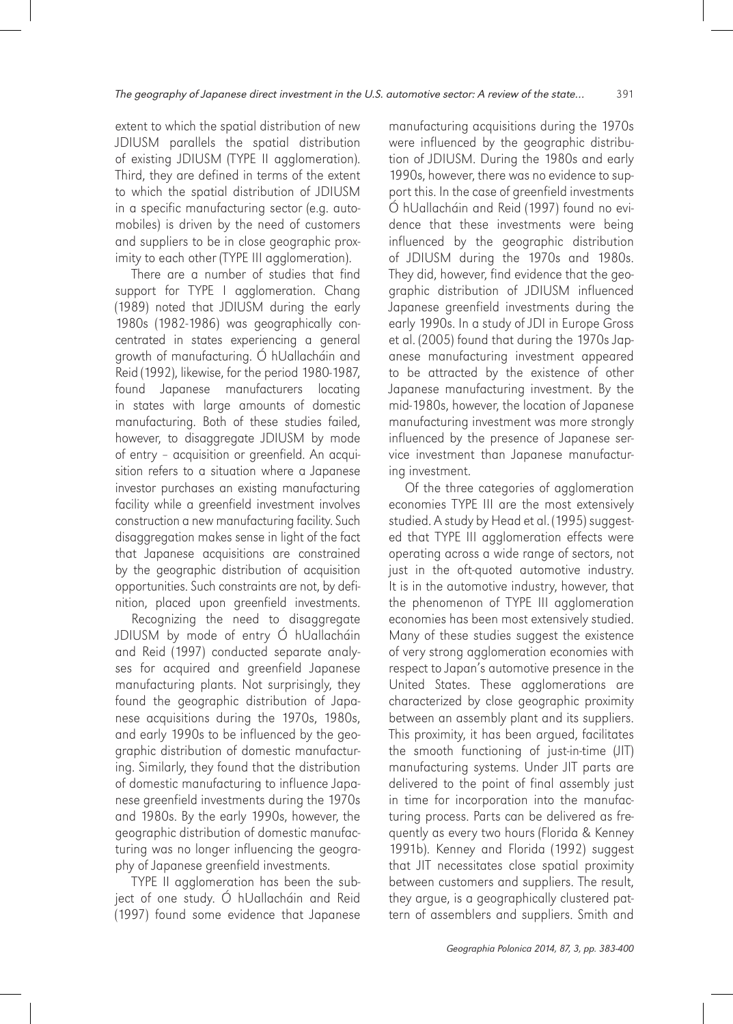extent to which the spatial distribution of new JDIUSM parallels the spatial distribution of existing JDIUSM (TYPE II agglomeration). Third, they are defined in terms of the extent to which the spatial distribution of JDIUSM in a specific manufacturing sector (e.g. automobiles) is driven by the need of customers and suppliers to be in close geographic proximity to each other (TYPE III agglomeration).

There are a number of studies that find support for TYPE I agglomeration. Chang (1989) noted that JDIUSM during the early 1980s (1982-1986) was geographically concentrated in states experiencing a general growth of manufacturing. Ó hUallacháin and Reid (1992), likewise, for the period 1980-1987, found Japanese manufacturers locating in states with large amounts of domestic manufacturing. Both of these studies failed, however, to disaggregate JDIUSM by mode of entry – acquisition or greenfield. An acquisition refers to a situation where a Japanese investor purchases an existing manufacturing facility while a greenfield investment involves construction a new manufacturing facility. Such disaggregation makes sense in light of the fact that Japanese acquisitions are constrained by the geographic distribution of acquisition opportunities. Such constraints are not, by definition, placed upon greenfield investments.

Recognizing the need to disaggregate JDIUSM by mode of entry Ó hUallacháin and Reid (1997) conducted separate analyses for acquired and greenfield Japanese manufacturing plants. Not surprisingly, they found the geographic distribution of Japanese acquisitions during the 1970s, 1980s, and early 1990s to be influenced by the geographic distribution of domestic manufacturing. Similarly, they found that the distribution of domestic manufacturing to influence Japanese greenfield investments during the 1970s and 1980s. By the early 1990s, however, the geographic distribution of domestic manufacturing was no longer influencing the geography of Japanese greenfield investments.

TYPE II agglomeration has been the subject of one study. Ó hUallacháin and Reid (1997) found some evidence that Japanese manufacturing acquisitions during the 1970s were influenced by the geographic distribution of JDIUSM. During the 1980s and early 1990s, however, there was no evidence to support this. In the case of greenfield investments Ó hUallacháin and Reid (1997) found no evidence that these investments were being influenced by the geographic distribution of JDIUSM during the 1970s and 1980s. They did, however, find evidence that the geographic distribution of JDIUSM influenced Japanese greenfield investments during the early 1990s. In a study of JDI in Europe Gross et al. (2005) found that during the 1970s Japanese manufacturing investment appeared to be attracted by the existence of other Japanese manufacturing investment. By the mid-1980s, however, the location of Japanese manufacturing investment was more strongly influenced by the presence of Japanese service investment than Japanese manufacturing investment.

Of the three categories of agglomeration economies TYPE III are the most extensively studied. A study by Head et al. (1995) suggested that TYPE III agglomeration effects were operating across a wide range of sectors, not just in the oft-quoted automotive industry. It is in the automotive industry, however, that the phenomenon of TYPE III agglomeration economies has been most extensively studied. Many of these studies suggest the existence of very strong agglomeration economies with respect to Japan's automotive presence in the United States. These agglomerations are characterized by close geographic proximity between an assembly plant and its suppliers. This proximity, it has been argued, facilitates the smooth functioning of just-in-time (JIT) manufacturing systems. Under JIT parts are delivered to the point of final assembly just in time for incorporation into the manufacturing process. Parts can be delivered as frequently as every two hours (Florida & Kenney 1991b). Kenney and Florida (1992) suggest that JIT necessitates close spatial proximity between customers and suppliers. The result, they argue, is a geographically clustered pattern of assemblers and suppliers. Smith and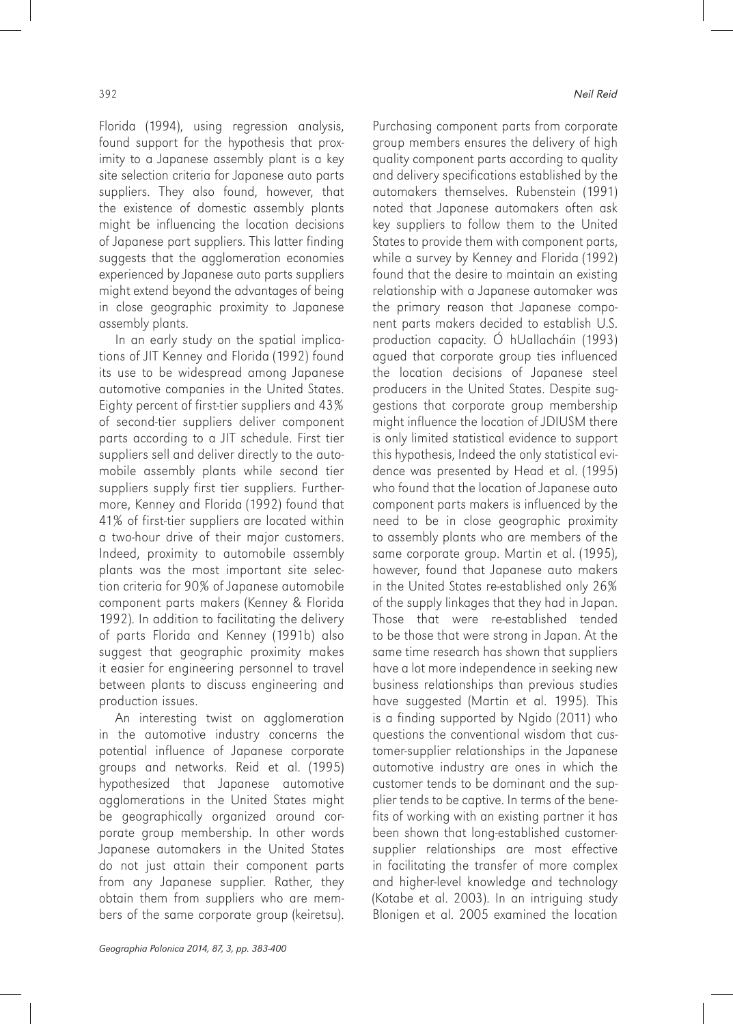Florida (1994), using regression analysis, found support for the hypothesis that proximity to a Japanese assembly plant is a key site selection criteria for Japanese auto parts suppliers. They also found, however, that the existence of domestic assembly plants might be influencing the location decisions of Japanese part suppliers. This latter finding suggests that the agglomeration economies experienced by Japanese auto parts suppliers might extend beyond the advantages of being in close geographic proximity to Japanese assembly plants.

In an early study on the spatial implications of JIT Kenney and Florida (1992) found its use to be widespread among Japanese automotive companies in the United States. Eighty percent of first-tier suppliers and 43% of second-tier suppliers deliver component parts according to a JIT schedule. First tier suppliers sell and deliver directly to the automobile assembly plants while second tier suppliers supply first tier suppliers. Furthermore, Kenney and Florida (1992) found that 41% of first-tier suppliers are located within a two-hour drive of their major customers. Indeed, proximity to automobile assembly plants was the most important site selection criteria for 90% of Japanese automobile component parts makers (Kenney & Florida 1992). In addition to facilitating the delivery of parts Florida and Kenney (1991b) also suggest that geographic proximity makes it easier for engineering personnel to travel between plants to discuss engineering and production issues.

An interesting twist on agglomeration in the automotive industry concerns the potential influence of Japanese corporate groups and networks. Reid et al. (1995) hypothesized that Japanese automotive agglomerations in the United States might be geographically organized around corporate group membership. In other words Japanese automakers in the United States do not just attain their component parts from any Japanese supplier. Rather, they obtain them from suppliers who are members of the same corporate group (keiretsu). Purchasing component parts from corporate group members ensures the delivery of high quality component parts according to quality and delivery specifications established by the automakers themselves. Rubenstein (1991) noted that Japanese automakers often ask key suppliers to follow them to the United States to provide them with component parts, while a survey by Kenney and Florida (1992) found that the desire to maintain an existing relationship with a Japanese automaker was the primary reason that Japanese component parts makers decided to establish U.S. production capacity. Ó hUallacháin (1993) agued that corporate group ties influenced the location decisions of Japanese steel producers in the United States. Despite suggestions that corporate group membership might influence the location of JDIUSM there is only limited statistical evidence to support this hypothesis, Indeed the only statistical evidence was presented by Head et al. (1995) who found that the location of Japanese auto component parts makers is influenced by the need to be in close geographic proximity to assembly plants who are members of the same corporate group. Martin et al. (1995), however, found that Japanese auto makers in the United States re-established only 26% of the supply linkages that they had in Japan. Those that were re-established tended to be those that were strong in Japan. At the same time research has shown that suppliers have a lot more independence in seeking new business relationships than previous studies have suggested (Martin et al. 1995). This is a finding supported by Ngido (2011) who questions the conventional wisdom that customer-supplier relationships in the Japanese automotive industry are ones in which the customer tends to be dominant and the supplier tends to be captive. In terms of the benefits of working with an existing partner it has been shown that long-established customersupplier relationships are most effective in facilitating the transfer of more complex and higher-level knowledge and technology (Kotabe et al. 2003). In an intriguing study Blonigen et al. 2005 examined the location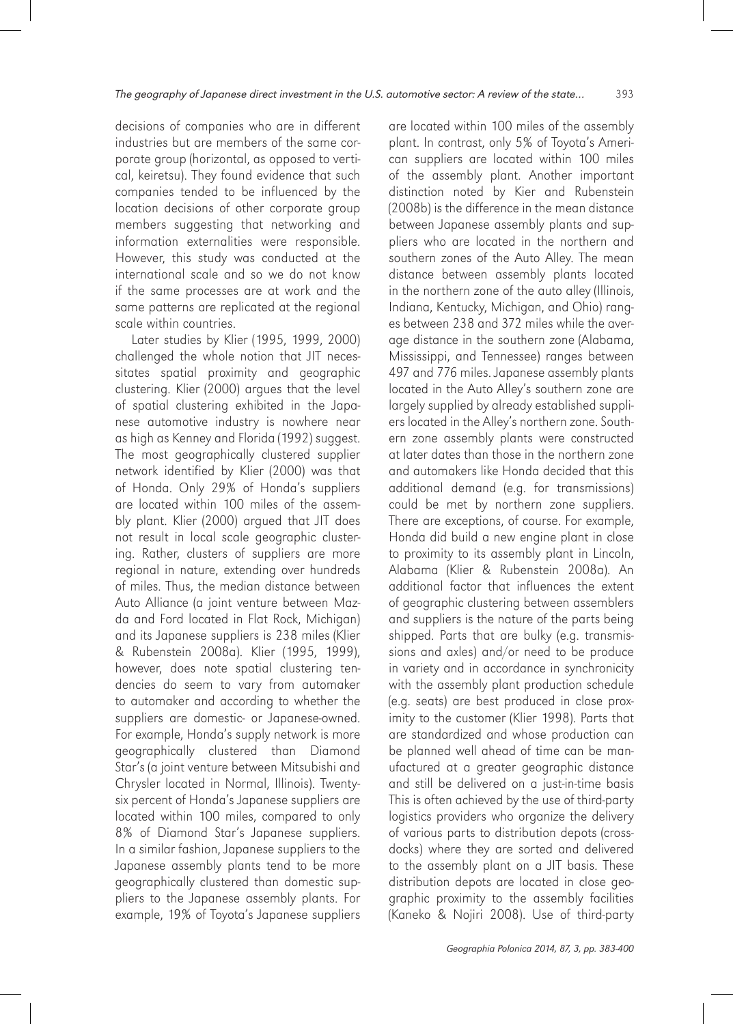decisions of companies who are in different industries but are members of the same corporate group (horizontal, as opposed to vertical, keiretsu). They found evidence that such companies tended to be influenced by the location decisions of other corporate group members suggesting that networking and information externalities were responsible. However, this study was conducted at the international scale and so we do not know if the same processes are at work and the same patterns are replicated at the regional scale within countries.

Later studies by Klier (1995, 1999, 2000) challenged the whole notion that JIT necessitates spatial proximity and geographic clustering. Klier (2000) argues that the level of spatial clustering exhibited in the Japanese automotive industry is nowhere near as high as Kenney and Florida (1992) suggest. The most geographically clustered supplier network identified by Klier (2000) was that of Honda. Only 29% of Honda's suppliers are located within 100 miles of the assembly plant. Klier (2000) argued that JIT does not result in local scale geographic clustering. Rather, clusters of suppliers are more regional in nature, extending over hundreds of miles. Thus, the median distance between Auto Alliance (a joint venture between Mazda and Ford located in Flat Rock, Michigan) and its Japanese suppliers is 238 miles (Klier & Rubenstein 2008a). Klier (1995, 1999), however, does note spatial clustering tendencies do seem to vary from automaker to automaker and according to whether the suppliers are domestic- or Japanese-owned. For example, Honda's supply network is more geographically clustered than Diamond Star's (a joint venture between Mitsubishi and Chrysler located in Normal, Illinois). Twentysix percent of Honda's Japanese suppliers are located within 100 miles, compared to only 8% of Diamond Star's Japanese suppliers. In a similar fashion, Japanese suppliers to the Japanese assembly plants tend to be more geographically clustered than domestic suppliers to the Japanese assembly plants. For example, 19% of Toyota's Japanese suppliers

are located within 100 miles of the assembly plant. In contrast, only 5% of Toyota's American suppliers are located within 100 miles of the assembly plant. Another important distinction noted by Kier and Rubenstein (2008b) is the difference in the mean distance between Japanese assembly plants and suppliers who are located in the northern and southern zones of the Auto Alley. The mean distance between assembly plants located in the northern zone of the auto alley (Illinois, Indiana, Kentucky, Michigan, and Ohio) ranges between 238 and 372 miles while the average distance in the southern zone (Alabama, Mississippi, and Tennessee) ranges between 497 and 776 miles. Japanese assembly plants located in the Auto Alley's southern zone are largely supplied by already established suppliers located in the Alley's northern zone. Southern zone assembly plants were constructed at later dates than those in the northern zone and automakers like Honda decided that this additional demand (e.g. for transmissions) could be met by northern zone suppliers. There are exceptions, of course. For example, Honda did build a new engine plant in close to proximity to its assembly plant in Lincoln, Alabama (Klier & Rubenstein 2008a). An additional factor that influences the extent of geographic clustering between assemblers and suppliers is the nature of the parts being shipped. Parts that are bulky (e.g. transmissions and axles) and/or need to be produce in variety and in accordance in synchronicity with the assembly plant production schedule (e.g. seats) are best produced in close proximity to the customer (Klier 1998). Parts that are standardized and whose production can be planned well ahead of time can be manufactured at a greater geographic distance and still be delivered on a just-in-time basis This is often achieved by the use of third-party logistics providers who organize the delivery of various parts to distribution depots (crossdocks) where they are sorted and delivered to the assembly plant on a JIT basis. These distribution depots are located in close geographic proximity to the assembly facilities (Kaneko & Nojiri 2008). Use of third-party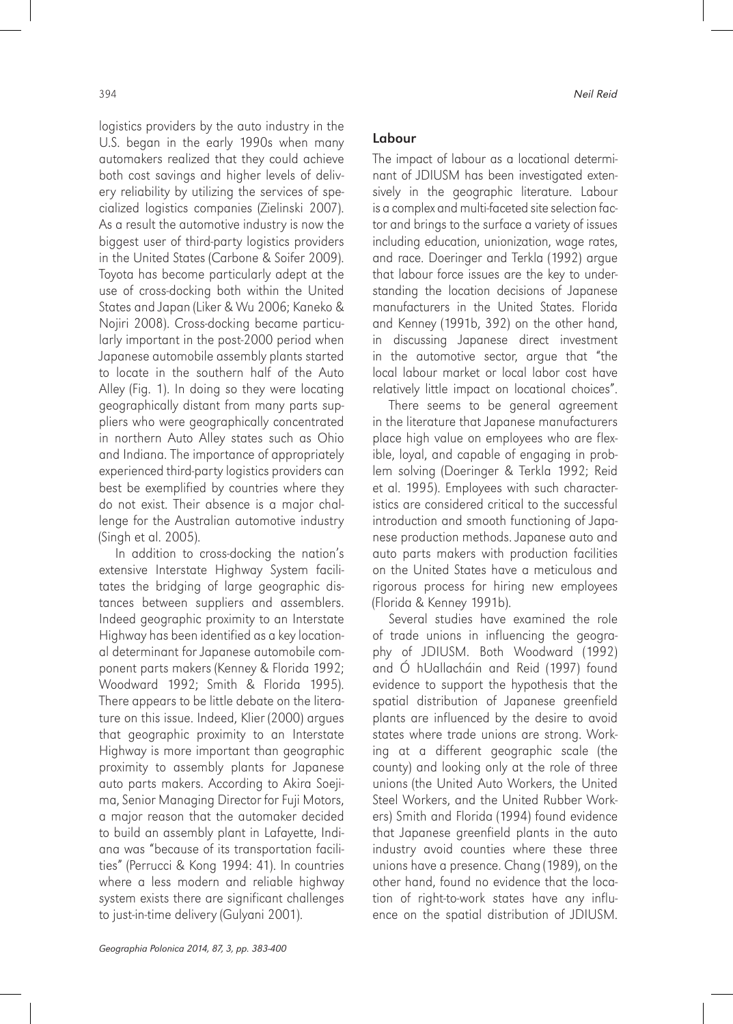logistics providers by the auto industry in the U.S. began in the early 1990s when many automakers realized that they could achieve both cost savings and higher levels of delivery reliability by utilizing the services of specialized logistics companies (Zielinski 2007). As a result the automotive industry is now the biggest user of third-party logistics providers in the United States (Carbone & Soifer 2009). Toyota has become particularly adept at the use of cross-docking both within the United States and Japan (Liker & Wu 2006; Kaneko & Nojiri 2008). Cross-docking became particularly important in the post-2000 period when Japanese automobile assembly plants started to locate in the southern half of the Auto Alley (Fig. 1). In doing so they were locating geographically distant from many parts suppliers who were geographically concentrated in northern Auto Alley states such as Ohio and Indiana. The importance of appropriately experienced third-party logistics providers can best be exemplified by countries where they do not exist. Their absence is a major challenge for the Australian automotive industry (Singh et al. 2005).

In addition to cross-docking the nation's extensive Interstate Highway System facilitates the bridging of large geographic distances between suppliers and assemblers. Indeed geographic proximity to an Interstate Highway has been identified as a key locational determinant for Japanese automobile component parts makers (Kenney & Florida 1992; Woodward 1992; Smith & Florida 1995). There appears to be little debate on the literature on this issue. Indeed, Klier (2000) argues that geographic proximity to an Interstate Highway is more important than geographic proximity to assembly plants for Japanese auto parts makers. According to Akira Soejima, Senior Managing Director for Fuji Motors, a major reason that the automaker decided to build an assembly plant in Lafayette, Indiana was "because of its transportation facilities" (Perrucci & Kong 1994: 41). In countries where a less modern and reliable highway system exists there are significant challenges to just-in-time delivery (Gulyani 2001).

#### Labour

The impact of labour as a locational determinant of JDIUSM has been investigated extensively in the geographic literature. Labour is a complex and multi-faceted site selection factor and brings to the surface a variety of issues including education, unionization, wage rates, and race. Doeringer and Terkla (1992) argue that labour force issues are the key to understanding the location decisions of Japanese manufacturers in the United States. Florida and Kenney (1991b, 392) on the other hand, in discussing Japanese direct investment in the automotive sector, argue that "the local labour market or local labor cost have relatively little impact on locational choices".

There seems to be general agreement in the literature that Japanese manufacturers place high value on employees who are flexible, loyal, and capable of engaging in problem solving (Doeringer & Terkla 1992; Reid et al. 1995). Employees with such characteristics are considered critical to the successful introduction and smooth functioning of Japanese production methods. Japanese auto and auto parts makers with production facilities on the United States have a meticulous and rigorous process for hiring new employees (Florida & Kenney 1991b).

Several studies have examined the role of trade unions in influencing the geography of JDIUSM. Both Woodward (1992) and Ó hUallacháin and Reid (1997) found evidence to support the hypothesis that the spatial distribution of Japanese greenfield plants are influenced by the desire to avoid states where trade unions are strong. Working at a different geographic scale (the county) and looking only at the role of three unions (the United Auto Workers, the United Steel Workers, and the United Rubber Workers) Smith and Florida (1994) found evidence that Japanese greenfield plants in the auto industry avoid counties where these three unions have a presence. Chang (1989), on the other hand, found no evidence that the location of right-to-work states have any influence on the spatial distribution of JDIUSM.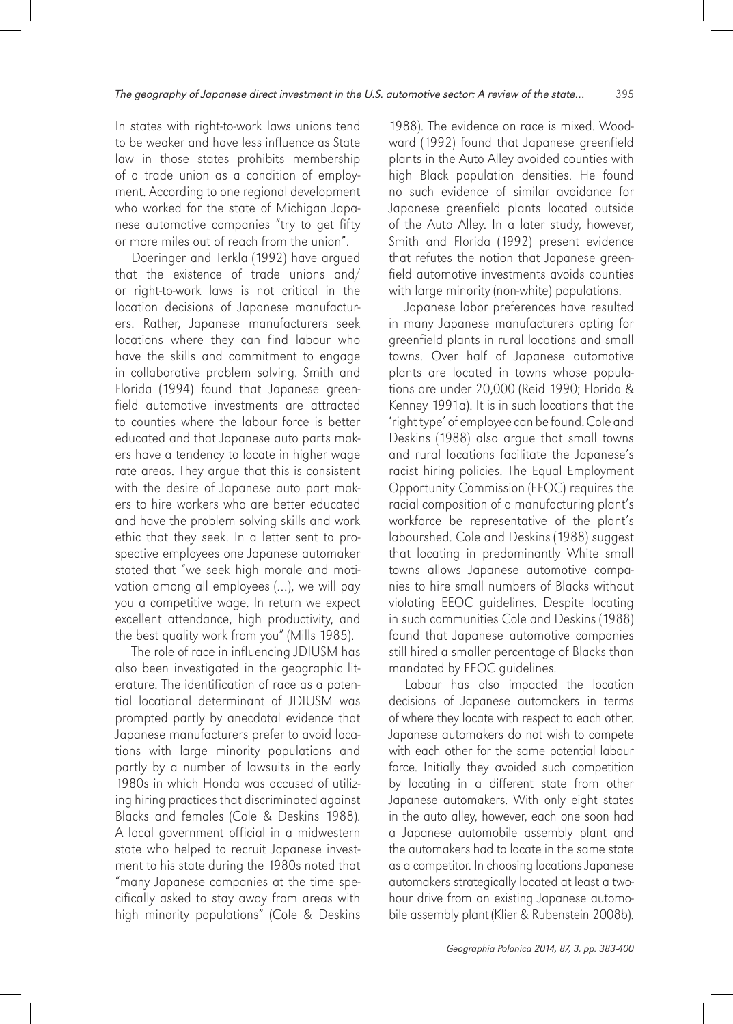In states with right-to-work laws unions tend to be weaker and have less influence as State law in those states prohibits membership of a trade union as a condition of employment. According to one regional development who worked for the state of Michigan Japanese automotive companies "try to get fifty or more miles out of reach from the union".

Doeringer and Terkla (1992) have argued that the existence of trade unions and/ or right-to-work laws is not critical in the location decisions of Japanese manufacturers. Rather, Japanese manufacturers seek locations where they can find labour who have the skills and commitment to engage in collaborative problem solving. Smith and Florida (1994) found that Japanese greenfield automotive investments are attracted to counties where the labour force is better educated and that Japanese auto parts makers have a tendency to locate in higher wage rate areas. They argue that this is consistent with the desire of Japanese auto part makers to hire workers who are better educated and have the problem solving skills and work ethic that they seek. In a letter sent to prospective employees one Japanese automaker stated that "we seek high morale and motivation among all employees (…), we will pay you a competitive wage. In return we expect excellent attendance, high productivity, and the best quality work from you" (Mills 1985).

The role of race in influencing JDIUSM has also been investigated in the geographic literature. The identification of race as a potential locational determinant of JDIUSM was prompted partly by anecdotal evidence that Japanese manufacturers prefer to avoid locations with large minority populations and partly by a number of lawsuits in the early 1980s in which Honda was accused of utilizing hiring practices that discriminated against Blacks and females (Cole & Deskins 1988). A local government official in a midwestern state who helped to recruit Japanese investment to his state during the 1980s noted that "many Japanese companies at the time specifically asked to stay away from areas with high minority populations" (Cole & Deskins

1988). The evidence on race is mixed. Woodward (1992) found that Japanese greenfield plants in the Auto Alley avoided counties with high Black population densities. He found no such evidence of similar avoidance for Japanese greenfield plants located outside of the Auto Alley. In a later study, however, Smith and Florida (1992) present evidence that refutes the notion that Japanese greenfield automotive investments avoids counties with large minority (non-white) populations.

Japanese labor preferences have resulted in many Japanese manufacturers opting for greenfield plants in rural locations and small towns. Over half of Japanese automotive plants are located in towns whose populations are under 20,000 (Reid 1990; Florida & Kenney 1991a). It is in such locations that the 'right type' of employee can be found. Cole and Deskins (1988) also argue that small towns and rural locations facilitate the Japanese's racist hiring policies. The Equal Employment Opportunity Commission (EEOC) requires the racial composition of a manufacturing plant's workforce be representative of the plant's labourshed. Cole and Deskins (1988) suggest that locating in predominantly White small towns allows Japanese automotive companies to hire small numbers of Blacks without violating EEOC guidelines. Despite locating in such communities Cole and Deskins (1988) found that Japanese automotive companies still hired a smaller percentage of Blacks than mandated by EEOC guidelines.

Labour has also impacted the location decisions of Japanese automakers in terms of where they locate with respect to each other. Japanese automakers do not wish to compete with each other for the same potential labour force. Initially they avoided such competition by locating in a different state from other Japanese automakers. With only eight states in the auto alley, however, each one soon had a Japanese automobile assembly plant and the automakers had to locate in the same state as a competitor. In choosing locations Japanese automakers strategically located at least a twohour drive from an existing Japanese automobile assembly plant (Klier & Rubenstein 2008b).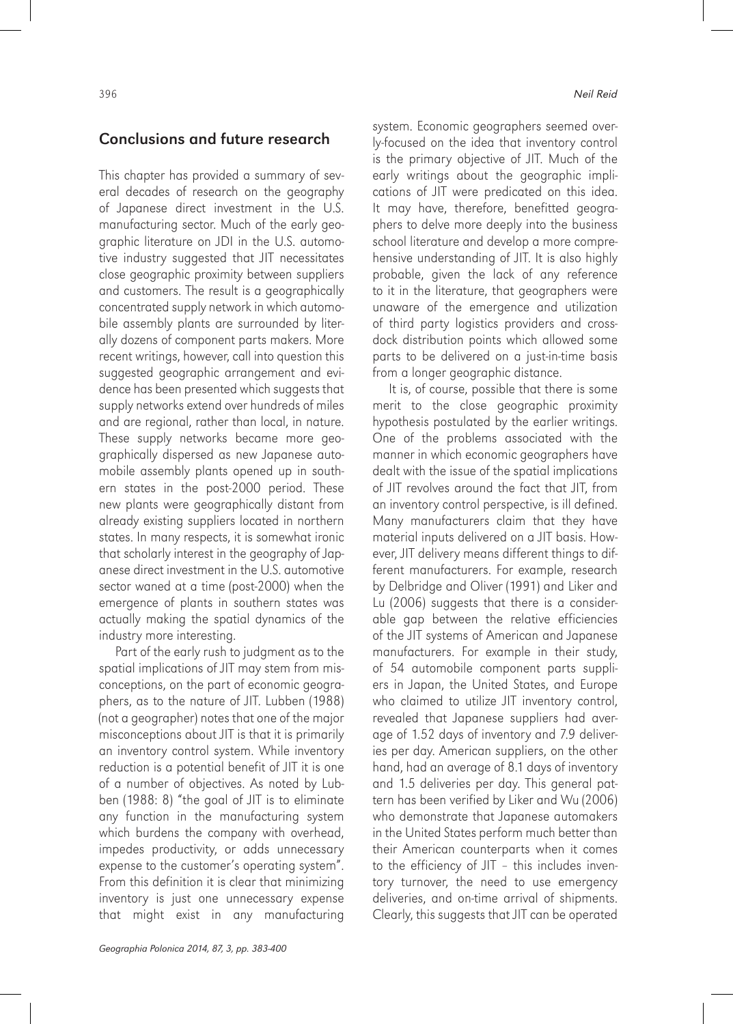### Conclusions and future research

This chapter has provided a summary of several decades of research on the geography of Japanese direct investment in the U.S. manufacturing sector. Much of the early geographic literature on JDI in the U.S. automotive industry suggested that JIT necessitates close geographic proximity between suppliers and customers. The result is a geographically concentrated supply network in which automobile assembly plants are surrounded by literally dozens of component parts makers. More recent writings, however, call into question this suggested geographic arrangement and evidence has been presented which suggests that supply networks extend over hundreds of miles and are regional, rather than local, in nature. These supply networks became more geographically dispersed as new Japanese automobile assembly plants opened up in southern states in the post-2000 period. These new plants were geographically distant from already existing suppliers located in northern states. In many respects, it is somewhat ironic that scholarly interest in the geography of Japanese direct investment in the U.S. automotive sector waned at a time (post-2000) when the emergence of plants in southern states was actually making the spatial dynamics of the industry more interesting.

Part of the early rush to judgment as to the spatial implications of JIT may stem from misconceptions, on the part of economic geographers, as to the nature of JIT. Lubben (1988) (not a geographer) notes that one of the major misconceptions about JIT is that it is primarily an inventory control system. While inventory reduction is a potential benefit of JIT it is one of a number of objectives. As noted by Lubben (1988: 8) "the goal of JIT is to eliminate any function in the manufacturing system which burdens the company with overhead, impedes productivity, or adds unnecessary expense to the customer's operating system". From this definition it is clear that minimizing inventory is just one unnecessary expense that might exist in any manufacturing

system. Economic geographers seemed overly-focused on the idea that inventory control is the primary objective of JIT. Much of the early writings about the geographic implications of JIT were predicated on this idea. It may have, therefore, benefitted geographers to delve more deeply into the business school literature and develop a more comprehensive understanding of JIT. It is also highly probable, given the lack of any reference to it in the literature, that geographers were unaware of the emergence and utilization of third party logistics providers and crossdock distribution points which allowed some parts to be delivered on a just-in-time basis from a longer geographic distance.

It is, of course, possible that there is some merit to the close geographic proximity hypothesis postulated by the earlier writings. One of the problems associated with the manner in which economic geographers have dealt with the issue of the spatial implications of JIT revolves around the fact that JIT, from an inventory control perspective, is ill defined. Many manufacturers claim that they have material inputs delivered on a JIT basis. However, JIT delivery means different things to different manufacturers. For example, research by Delbridge and Oliver (1991) and Liker and Lu (2006) suggests that there is a considerable gap between the relative efficiencies of the JIT systems of American and Japanese manufacturers. For example in their study, of 54 automobile component parts suppliers in Japan, the United States, and Europe who claimed to utilize JIT inventory control, revealed that Japanese suppliers had average of 1.52 days of inventory and 7.9 deliveries per day. American suppliers, on the other hand, had an average of 8.1 days of inventory and 1.5 deliveries per day. This general pattern has been verified by Liker and Wu (2006) who demonstrate that Japanese automakers in the United States perform much better than their American counterparts when it comes to the efficiency of JIT – this includes inventory turnover, the need to use emergency deliveries, and on-time arrival of shipments. Clearly, this suggests that JIT can be operated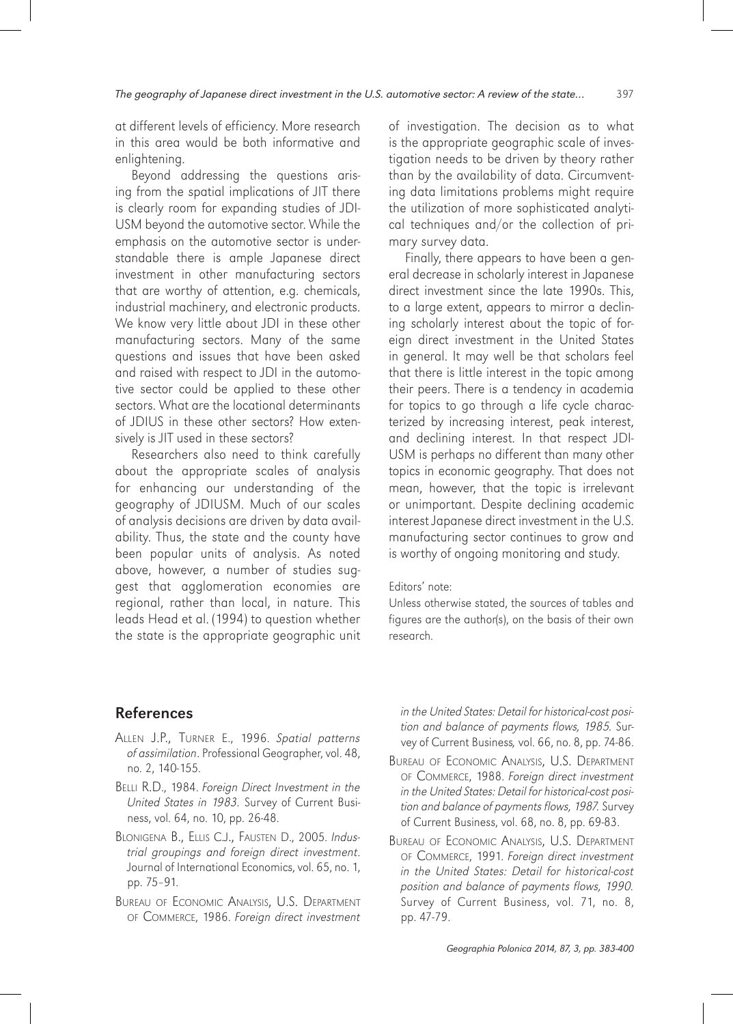at different levels of efficiency. More research in this area would be both informative and enlightening.

Beyond addressing the questions arising from the spatial implications of JIT there is clearly room for expanding studies of JDI-USM beyond the automotive sector. While the emphasis on the automotive sector is understandable there is ample Japanese direct investment in other manufacturing sectors that are worthy of attention, e.g. chemicals, industrial machinery, and electronic products. We know very little about JDI in these other manufacturing sectors. Many of the same questions and issues that have been asked and raised with respect to JDI in the automotive sector could be applied to these other sectors. What are the locational determinants of JDIUS in these other sectors? How extensively is JIT used in these sectors?

Researchers also need to think carefully about the appropriate scales of analysis for enhancing our understanding of the geography of JDIUSM. Much of our scales of analysis decisions are driven by data availability. Thus, the state and the county have been popular units of analysis. As noted above, however, a number of studies suggest that agglomeration economies are regional, rather than local, in nature. This leads Head et al. (1994) to question whether the state is the appropriate geographic unit

of investigation. The decision as to what is the appropriate geographic scale of investigation needs to be driven by theory rather than by the availability of data. Circumventing data limitations problems might require the utilization of more sophisticated analytical techniques and/or the collection of primary survey data.

Finally, there appears to have been a general decrease in scholarly interest in Japanese direct investment since the late 1990s. This, to a large extent, appears to mirror a declining scholarly interest about the topic of foreign direct investment in the United States in general. It may well be that scholars feel that there is little interest in the topic among their peers. There is a tendency in academia for topics to go through a life cycle characterized by increasing interest, peak interest, and declining interest. In that respect JDI-USM is perhaps no different than many other topics in economic geography. That does not mean, however, that the topic is irrelevant or unimportant. Despite declining academic interest Japanese direct investment in the U.S. manufacturing sector continues to grow and is worthy of ongoing monitoring and study.

#### Editors' note:

Unless otherwise stated, the sources of tables and figures are the author(s), on the basis of their own research.

# References

- Allen J.P., Turner E., 1996. Spatial patterns of assimilation. Professional Geographer, vol. 48, no. 2, 140-155.
- Belli R.D., 1984. Foreign Direct Investment in the United States in 1983. Survey of Current Business, vol. 64, no. 10, pp. 26-48.
- Blonigena B., Ellis C.J., Fausten D., 2005. Industrial groupings and foreign direct investment. Journal of International Economics, vol. 65, no. 1, pp. 75–91.
- Bureau of Economic Analysis, U.S. Department of Commerce, 1986. Foreign direct investment

in the United States: Detail for historical-cost position and balance of payments flows, 1985. Survey of Current Business, vol. 66, no. 8, pp. 74-86.

- Bureau of Economic Analysis, U.S. Department of Commerce, 1988. Foreign direct investment in the United States: Detail for historical-cost position and balance of payments flows, 1987. Survey of Current Business, vol. 68, no. 8, pp. 69-83.
- Bureau of Economic Analysis, U.S. Department of Commerce, 1991. Foreign direct investment in the United States: Detail for historical-cost position and balance of payments flows, 1990. Survey of Current Business, vol. 71, no. 8, pp. 47-79.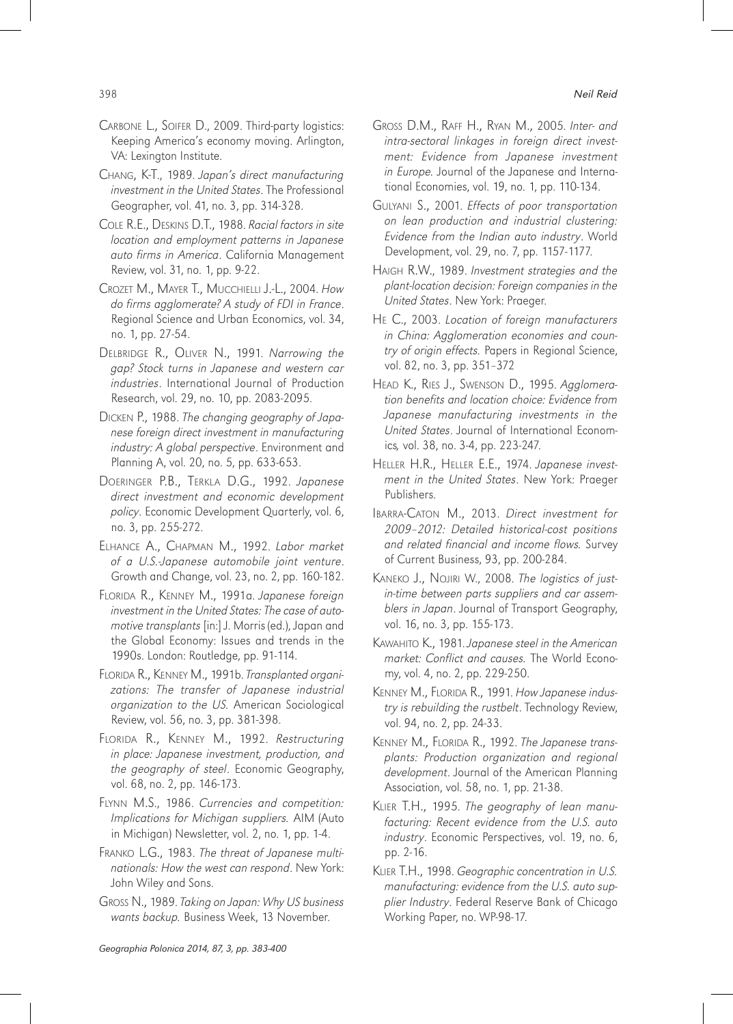- Carbone L., Soifer D., 2009. Third-party logistics: Keeping America's economy moving. Arlington, VA: Lexington Institute.
- Chang, K-T., 1989. Japan's direct manufacturing investment in the United States. The Professional Geographer, vol. 41, no. 3, pp. 314-328.
- Cole R.E., Deskins D.T., 1988. Racial factors in site location and employment patterns in Japanese auto firms in America. California Management Review, vol. 31, no. 1, pp. 9-22.
- Crozet M., Mayer T., Mucchielli J.-L., 2004. How do firms agglomerate? A study of FDI in France. Regional Science and Urban Economics, vol. 34, no. 1, pp. 27-54.
- DELBRIDGE R., OLIVER N., 1991. Narrowing the gap? Stock turns in Japanese and western car industries. International Journal of Production Research, vol. 29, no. 10, pp. 2083-2095.
- Dicken P., 1988. The changing geography of Japanese foreign direct investment in manufacturing industry: A global perspective. Environment and Planning A, vol. 20, no. 5, pp. 633-653.
- Doeringer P.B., Terkla D.G., 1992. Japanese direct investment and economic development policy. Economic Development Quarterly, vol. 6, no. 3, pp. 255-272.
- Elhance A., Chapman M., 1992. Labor market of a U.S.-Japanese automobile joint venture. Growth and Change, vol. 23, no. 2, pp. 160-182.
- FLORIDA R., KENNEY M., 1991a. Japanese foreign investment in the United States: The case of automotive transplants [in:] J. Morris (ed.), Japan and the Global Economy: Issues and trends in the 1990s. London: Routledge, pp. 91-114.
- FLORIDA R., KENNEY M., 1991b. Transplanted organizations: The transfer of Japanese industrial organization to the US. American Sociological Review, vol. 56, no. 3, pp. 381-398.
- FLORIDA R., KENNEY M., 1992. Restructuring in place: Japanese investment, production, and the geography of steel. Economic Geography, vol. 68, no. 2, pp. 146-173.
- Flynn M.S., 1986. Currencies and competition: Implications for Michigan suppliers. AIM (Auto in Michigan) Newsletter, vol. 2, no. 1, pp. 1-4.
- Franko L.G., 1983. The threat of Japanese multinationals: How the west can respond. New York: John Wiley and Sons.
- Gross N., 1989. Taking on Japan: Why US business wants backup. Business Week, 13 November.
- Gross D.M., Raff H., Ryan M., 2005. Inter- and intra-sectoral linkages in foreign direct investment: Evidence from Japanese investment in Europe. Journal of the Japanese and International Economies, vol. 19, no. 1, pp. 110-134.
- Gulyani S., 2001. Effects of poor transportation on lean production and industrial clustering: Evidence from the Indian auto industry. World Development, vol. 29, no. 7, pp. 1157-1177.
- Haigh R.W., 1989. Investment strategies and the plant-location decision: Foreign companies in the United States. New York: Praeger.
- He C., 2003. Location of foreign manufacturers in China: Agglomeration economies and country of origin effects. Papers in Regional Science, vol. 82, no. 3, pp. 351–372
- Head K., Ries J., Swenson D., 1995. Agglomeration benefits and location choice: Evidence from Japanese manufacturing investments in the United States. Journal of International Economics, vol. 38, no. 3-4, pp. 223-247.
- Heller H.R., Heller E.E., 1974. Japanese investment in the United States. New York: Praeger Publishers.
- Ibarra-Caton M., 2013. Direct investment for 2009–2012: Detailed historical-cost positions and related financial and income flows. Survey of Current Business, 93, pp. 200-284.
- KANEKO J., NOJIRI W., 2008. The logistics of justin-time between parts suppliers and car assemblers in Japan. Journal of Transport Geography, vol. 16, no. 3, pp. 155-173.
- KAWAHITO K., 1981. Japanese steel in the American market: Conflict and causes. The World Economy, vol. 4, no. 2, pp. 229-250.
- KENNEY M., FLORIDA R., 1991. How Japanese industry is rebuilding the rustbelt. Technology Review, vol. 94, no. 2, pp. 24-33.
- KENNEY M., FLORIDA R., 1992. The Japanese transplants: Production organization and regional development. Journal of the American Planning Association, vol. 58, no. 1, pp. 21-38.
- Klier T.H., 1995. The geography of lean manufacturing: Recent evidence from the U.S. auto industry. Economic Perspectives, vol. 19, no. 6, pp. 2-16.
- KLIER T.H., 1998. Geographic concentration in U.S. manufacturing: evidence from the U.S. auto supplier Industry. Federal Reserve Bank of Chicago Working Paper, no. WP-98-17.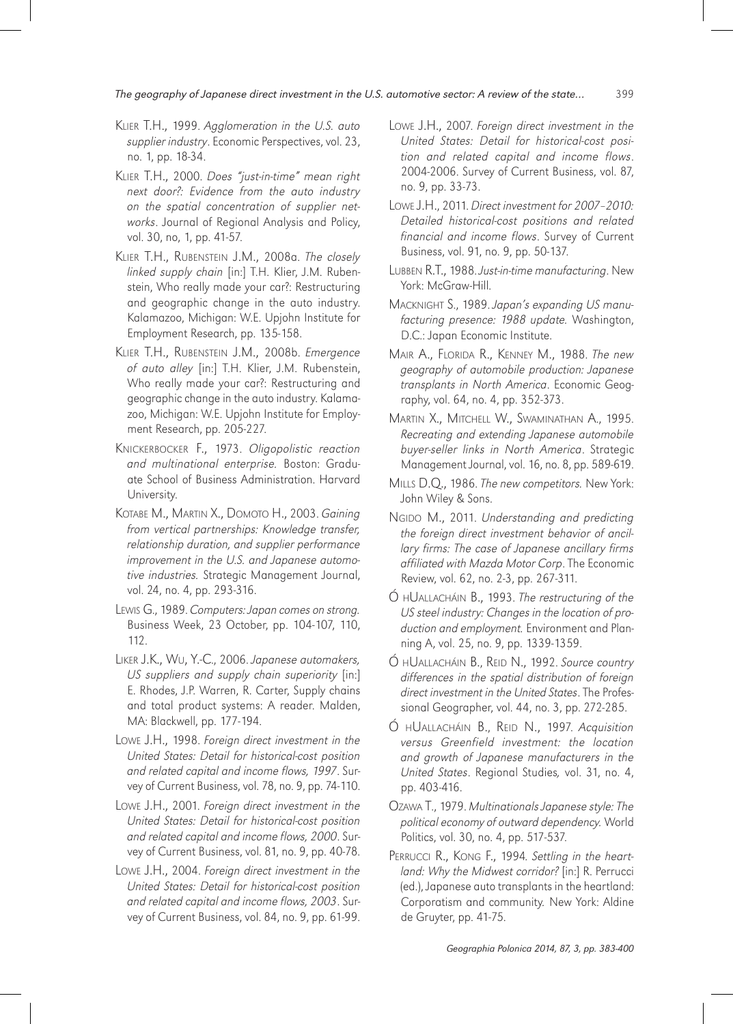- Klier T.H., 1999. Agglomeration in the U.S. auto supplier industry. Economic Perspectives, vol. 23, no. 1, pp. 18-34.
- Klier T.H., 2000. Does "just-in-time" mean right next door?: Evidence from the auto industry on the spatial concentration of supplier networks. Journal of Regional Analysis and Policy, vol. 30, no, 1, pp. 41-57.
- KLIER T.H., RUBENSTEIN J.M., 2008a. The closely linked supply chain [in:] T.H. Klier, J.M. Rubenstein, Who really made your car?: Restructuring and geographic change in the auto industry. Kalamazoo, Michigan: W.E. Upjohn Institute for Employment Research, pp. 135-158.
- Klier T.H., Rubenstein J.M., 2008b. Emergence of auto alley [in:] T.H. Klier, J.M. Rubenstein, Who really made your car?: Restructuring and geographic change in the auto industry. Kalamazoo, Michigan: W.E. Upjohn Institute for Employment Research, pp. 205-227.
- KNICKERBOCKER F., 1973. Oligopolistic reaction and multinational enterprise. Boston: Graduate School of Business Administration. Harvard University.
- Kotabe M., Martin X., Domoto H., 2003. Gaining from vertical partnerships: Knowledge transfer, relationship duration, and supplier performance improvement in the U.S. and Japanese automotive industries. Strategic Management Journal, vol. 24, no. 4, pp. 293-316.
- Lewis G., 1989. Computers: Japan comes on strong. Business Week, 23 October, pp. 104-107, 110, 112.
- Liker J.K., Wu, Y.-C., 2006. Japanese automakers, US suppliers and supply chain superiority [in:] E. Rhodes, J.P. Warren, R. Carter, Supply chains and total product systems: A reader. Malden, MA: Blackwell, pp. 177-194.
- Lowe J.H., 1998. Foreign direct investment in the United States: Detail for historical-cost position and related capital and income flows, 1997. Survey of Current Business, vol. 78, no. 9, pp. 74-110.
- Lowe J.H., 2001. Foreign direct investment in the United States: Detail for historical-cost position and related capital and income flows, 2000. Survey of Current Business, vol. 81, no. 9, pp. 40-78.
- Lowe J.H., 2004. Foreign direct investment in the United States: Detail for historical-cost position and related capital and income flows, 2003. Survey of Current Business, vol. 84, no. 9, pp. 61-99.
- Lowe J.H., 2007. Foreign direct investment in the United States: Detail for historical-cost position and related capital and income flows. 2004-2006. Survey of Current Business, vol. 87, no. 9, pp. 33-73.
- Lowe J.H., 2011. Direct investment for 2007–2010: Detailed historical-cost positions and related financial and income flows. Survey of Current Business, vol. 91, no. 9, pp. 50-137.
- Lubben R.T., 1988. Just-in-time manufacturing. New York: McGraw-Hill.
- Macknight S., 1989. Japan's expanding US manufacturing presence: 1988 update. Washington, D.C.: Japan Economic Institute.
- Mair A., Florida R., Kenney M., 1988. The new geography of automobile production: Japanese transplants in North America. Economic Geography, vol. 64, no. 4, pp. 352-373.
- Martin X., Mitchell W., Swaminathan A., 1995. Recreating and extending Japanese automobile buyer-seller links in North America. Strategic Management Journal, vol. 16, no. 8, pp. 589-619.
- MILLS D.Q., 1986. The new competitors. New York: John Wiley & Sons.
- NGIDO M., 2011. Understanding and predicting the foreign direct investment behavior of ancillary firms: The case of Japanese ancillary firms affiliated with Mazda Motor Corp. The Economic Review, vol. 62, no. 2-3, pp. 267-311.
- Ó hUallacháin B., 1993. The restructuring of the US steel industry: Changes in the location of production and employment. Environment and Planning A, vol. 25, no. 9, pp. 1339-1359.
- Ó hUallacháin B., Reid N., 1992. Source country differences in the spatial distribution of foreign direct investment in the United States. The Professional Geographer, vol. 44, no. 3, pp. 272-285.
- Ó HUALLACHÁIN B., REID N., 1997. Acquisition versus Greenfield investment: the location and growth of Japanese manufacturers in the United States. Regional Studies, vol. 31, no. 4, pp. 403-416.
- Ozawa T., 1979. Multinationals Japanese style: The political economy of outward dependency. World Politics, vol. 30, no. 4, pp. 517-537.
- PERRUCCI R., KONG F., 1994. Settling in the heartland: Why the Midwest corridor? [in:] R. Perrucci (ed.), Japanese auto transplants in the heartland: Corporatism and community. New York: Aldine de Gruyter, pp. 41-75.